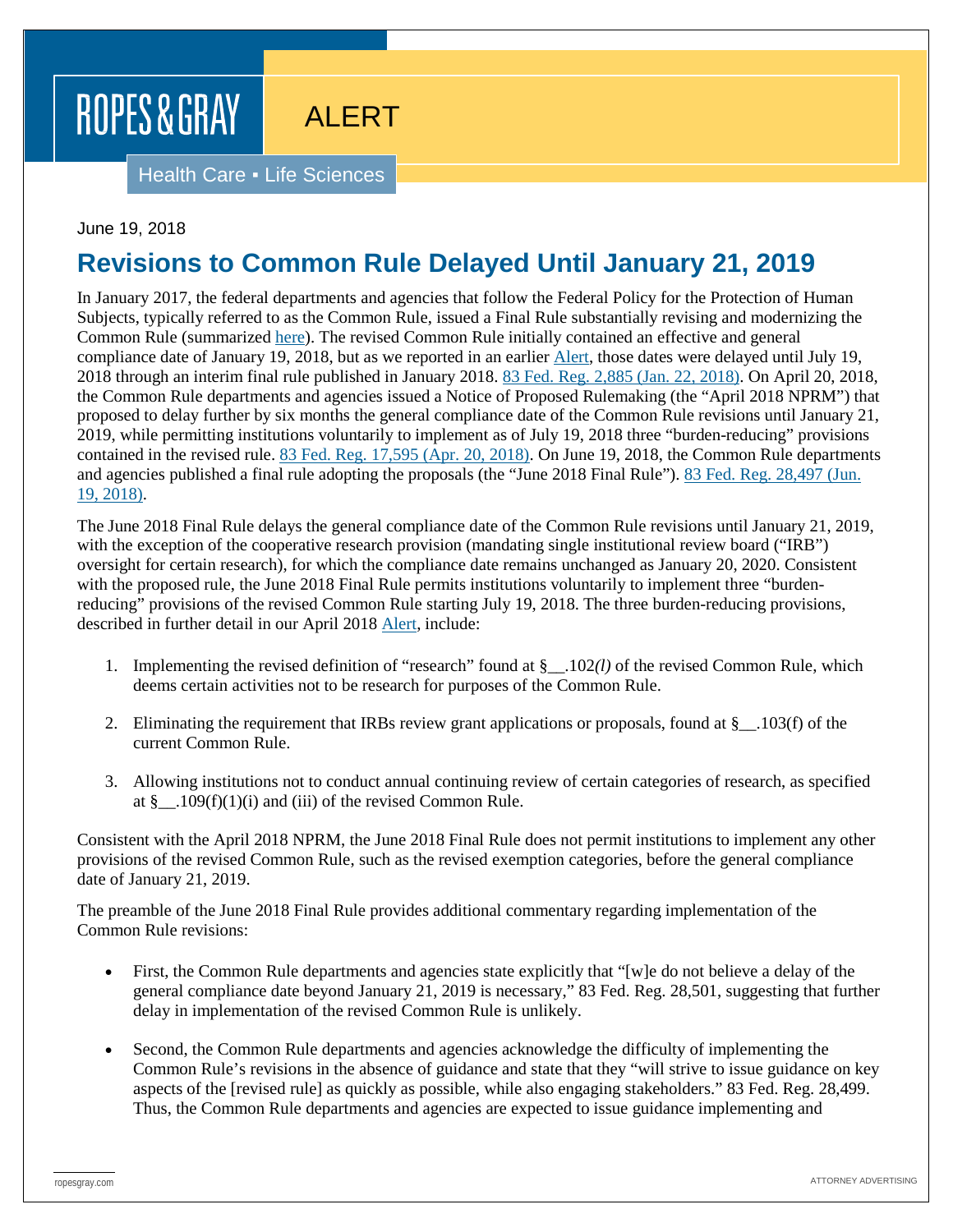# ROPES & GRAY

# ALERT

Health Care . Life Sciences

#### June 19, 2018

### **Revisions to Common Rule Delayed Until January 21, 2019**

In January 2017, the federal departments and agencies that follow the Federal Policy for the Protection of Human Subjects, typically referred to as the Common Rule, issued a Final Rule substantially revising and modernizing the Common Rule (summarized [here\)](https://www.ropesgray.com/en/newsroom/news/2017/01/Ropes-Gray-Attorneys-Examine-Changes-to-the-Common-Rule-in-Bloomberg-BNA). The revised Common Rule initially contained an effective and general compliance date of January 19, 2018, but as we reported in an earlier [Alert,](https://www.ropesgray.com/en/newsroom/alerts/2018/01/HHS-Delays-Compliance-Date-for-Revised-Common-Rule) those dates were delayed until July 19, 2018 through an interim final rule published in January 2018. [83 Fed. Reg. 2,885 \(Jan. 22, 2018\).](https://www.federalregister.gov/documents/2018/01/22/2018-00997/federal-policy-for-the-protection-of-human-subjects-delay-of-the-revisions-to-the-federal-policy-for) On April 20, 2018, the Common Rule departments and agencies issued a Notice of Proposed Rulemaking (the "April 2018 NPRM") that proposed to delay further by six months the general compliance date of the Common Rule revisions until January 21, 2019, while permitting institutions voluntarily to implement as of July 19, 2018 three "burden-reducing" provisions contained in the revised rule[. 83 Fed. Reg. 17,595 \(Apr. 20, 2018\).](https://www.federalregister.gov/documents/2018/04/20/2018-08231/federal-policy-for-the-protection-of-human-subjects-proposed-six-month-delay-of-the-general) On June 19, 2018, the Common Rule departments and agencies published a final rule adopting the proposals (the "June 2018 Final Rule")[. 83 Fed. Reg. 28,497 \(Jun.](https://www.gpo.gov/fdsys/pkg/FR-2018-06-19/pdf/2018-13187.pdf)  [19, 2018\).](https://www.gpo.gov/fdsys/pkg/FR-2018-06-19/pdf/2018-13187.pdf)

The June 2018 Final Rule delays the general compliance date of the Common Rule revisions until January 21, 2019, with the exception of the cooperative research provision (mandating single institutional review board ("IRB") oversight for certain research), for which the compliance date remains unchanged as January 20, 2020. Consistent with the proposed rule, the June 2018 Final Rule permits institutions voluntarily to implement three "burdenreducing" provisions of the revised Common Rule starting July 19, 2018. The three burden-reducing provisions, described in further detail in our April 2018 [Alert,](https://www.ropesgray.com/en/newsroom/alerts/2018/04/Proposed-Rule-would-Delay-Common-Rule-General-Compliance-Date-Until-January-21-2019-While-Permitting) include:

- 1. Implementing the revised definition of "research" found at §\_\_.102*(l)* of the revised Common Rule, which deems certain activities not to be research for purposes of the Common Rule.
- 2. Eliminating the requirement that IRBs review grant applications or proposals, found at  $\S$  . 103(f) of the current Common Rule.
- 3. Allowing institutions not to conduct annual continuing review of certain categories of research, as specified at  $\S$  ...109(f)(1)(i) and (iii) of the revised Common Rule.

Consistent with the April 2018 NPRM, the June 2018 Final Rule does not permit institutions to implement any other provisions of the revised Common Rule, such as the revised exemption categories, before the general compliance date of January 21, 2019.

The preamble of the June 2018 Final Rule provides additional commentary regarding implementation of the Common Rule revisions:

- First, the Common Rule departments and agencies state explicitly that "[w]e do not believe a delay of the general compliance date beyond January 21, 2019 is necessary," 83 Fed. Reg. 28,501, suggesting that further delay in implementation of the revised Common Rule is unlikely.
- Second, the Common Rule departments and agencies acknowledge the difficulty of implementing the Common Rule's revisions in the absence of guidance and state that they "will strive to issue guidance on key aspects of the [revised rule] as quickly as possible, while also engaging stakeholders." 83 Fed. Reg. 28,499. Thus, the Common Rule departments and agencies are expected to issue guidance implementing and